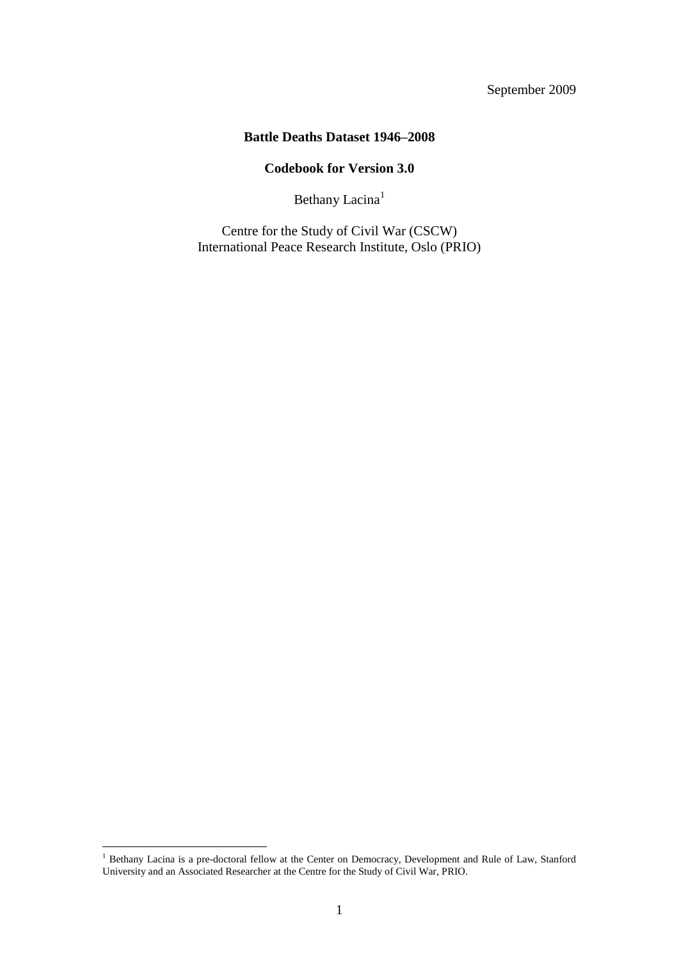# September 2009

## **Battle Deaths Dataset 1946–2008**

## **Codebook for Version 3.0**

Bethany Lacina<sup>1</sup>

Centre for the Study of Civil War (CSCW) International Peace Research Institute, Oslo (PRIO)

 $\overline{a}$ 

<sup>&</sup>lt;sup>1</sup> Bethany Lacina is a pre-doctoral fellow at the Center on Democracy, Development and Rule of Law, Stanford University and an Associated Researcher at the Centre for the Study of Civil War, PRIO.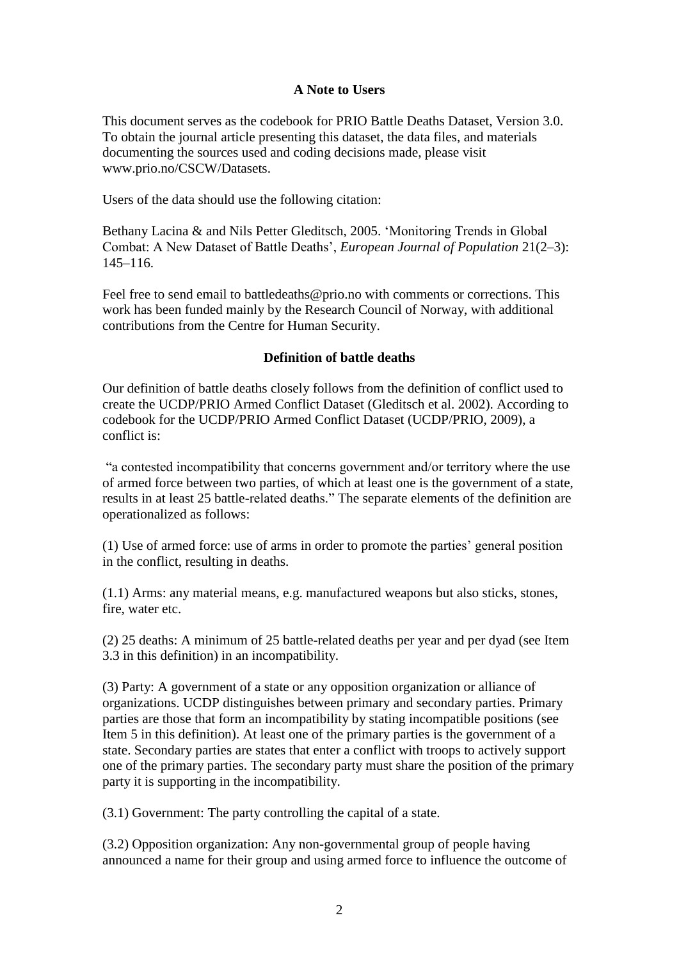### **A Note to Users**

This document serves as the codebook for PRIO Battle Deaths Dataset, Version 3.0. To obtain the journal article presenting this dataset, the data files, and materials documenting the sources used and coding decisions made, please visit www.prio.no/CSCW/Datasets.

Users of the data should use the following citation:

Bethany Lacina & and Nils Petter Gleditsch, 2005. "Monitoring Trends in Global Combat: A New Dataset of Battle Deaths", *European Journal of Population* 21(2–3): 145–116.

Feel free to send email to battledeaths@prio.no with comments or corrections. This work has been funded mainly by the Research Council of Norway, with additional contributions from the Centre for Human Security.

#### **Definition of battle deaths**

Our definition of battle deaths closely follows from the definition of conflict used to create the UCDP/PRIO Armed Conflict Dataset (Gleditsch et al. 2002). According to codebook for the UCDP/PRIO Armed Conflict Dataset (UCDP/PRIO, 2009), a conflict is:

"a contested incompatibility that concerns government and/or territory where the use of armed force between two parties, of which at least one is the government of a state, results in at least 25 battle-related deaths." The separate elements of the definition are operationalized as follows:

(1) Use of armed force: use of arms in order to promote the parties" general position in the conflict, resulting in deaths.

(1.1) Arms: any material means, e.g. manufactured weapons but also sticks, stones, fire, water etc.

(2) 25 deaths: A minimum of 25 battle-related deaths per year and per dyad (see Item 3.3 in this definition) in an incompatibility.

(3) Party: A government of a state or any opposition organization or alliance of organizations. UCDP distinguishes between primary and secondary parties. Primary parties are those that form an incompatibility by stating incompatible positions (see Item 5 in this definition). At least one of the primary parties is the government of a state. Secondary parties are states that enter a conflict with troops to actively support one of the primary parties. The secondary party must share the position of the primary party it is supporting in the incompatibility.

(3.1) Government: The party controlling the capital of a state.

(3.2) Opposition organization: Any non-governmental group of people having announced a name for their group and using armed force to influence the outcome of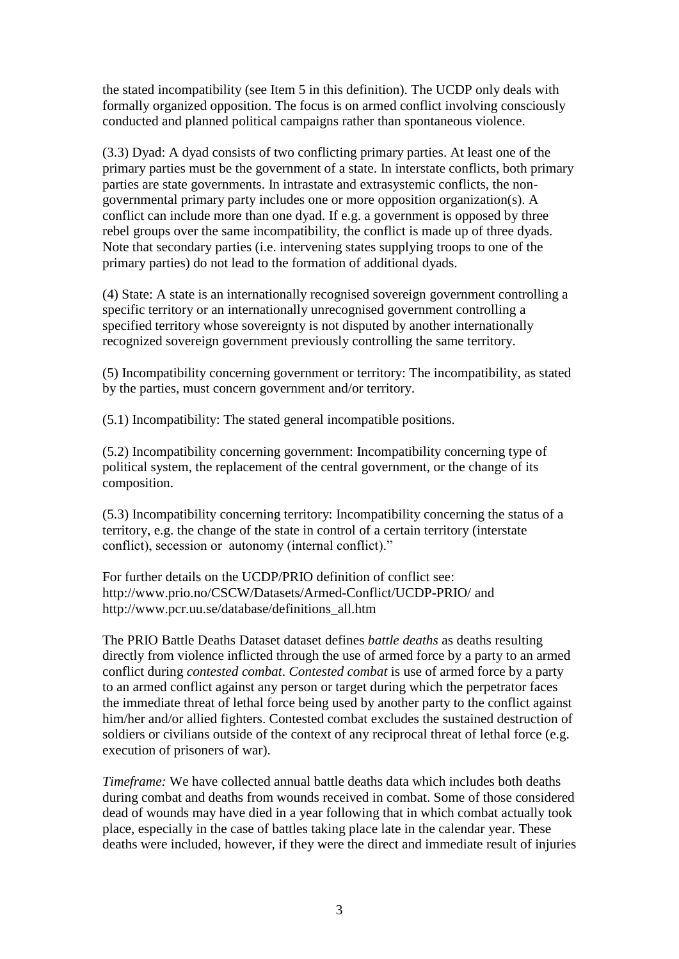the stated incompatibility (see Item 5 in this definition). The UCDP only deals with formally organized opposition. The focus is on armed conflict involving consciously conducted and planned political campaigns rather than spontaneous violence.

(3.3) Dyad: A dyad consists of two conflicting primary parties. At least one of the primary parties must be the government of a state. In interstate conflicts, both primary parties are state governments. In intrastate and extrasystemic conflicts, the nongovernmental primary party includes one or more opposition organization(s). A conflict can include more than one dyad. If e.g. a government is opposed by three rebel groups over the same incompatibility, the conflict is made up of three dyads. Note that secondary parties (i.e. intervening states supplying troops to one of the primary parties) do not lead to the formation of additional dyads.

(4) State: A state is an internationally recognised sovereign government controlling a specific territory or an internationally unrecognised government controlling a specified territory whose sovereignty is not disputed by another internationally recognized sovereign government previously controlling the same territory.

(5) Incompatibility concerning government or territory: The incompatibility, as stated by the parties, must concern government and/or territory.

(5.1) Incompatibility: The stated general incompatible positions.

(5.2) Incompatibility concerning government: Incompatibility concerning type of political system, the replacement of the central government, or the change of its composition.

(5.3) Incompatibility concerning territory: Incompatibility concerning the status of a territory, e.g. the change of the state in control of a certain territory (interstate conflict), secession or autonomy (internal conflict)."

For further details on the UCDP/PRIO definition of conflict see: http://www.prio.no/CSCW/Datasets/Armed-Conflict/UCDP-PRIO/ and http://www.pcr.uu.se/database/definitions\_all.htm

The PRIO Battle Deaths Dataset dataset defines *battle deaths* as deaths resulting directly from violence inflicted through the use of armed force by a party to an armed conflict during *contested combat*. *Contested combat* is use of armed force by a party to an armed conflict against any person or target during which the perpetrator faces the immediate threat of lethal force being used by another party to the conflict against him/her and/or allied fighters. Contested combat excludes the sustained destruction of soldiers or civilians outside of the context of any reciprocal threat of lethal force (e.g. execution of prisoners of war).

*Timeframe:* We have collected annual battle deaths data which includes both deaths during combat and deaths from wounds received in combat. Some of those considered dead of wounds may have died in a year following that in which combat actually took place, especially in the case of battles taking place late in the calendar year. These deaths were included, however, if they were the direct and immediate result of injuries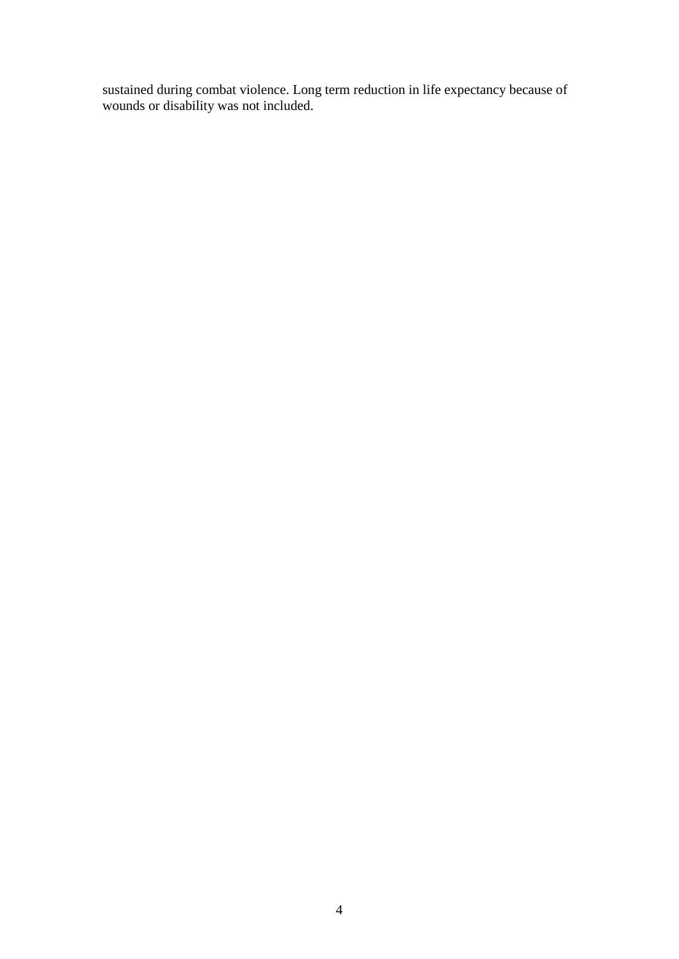sustained during combat violence. Long term reduction in life expectancy because of wounds or disability was not included.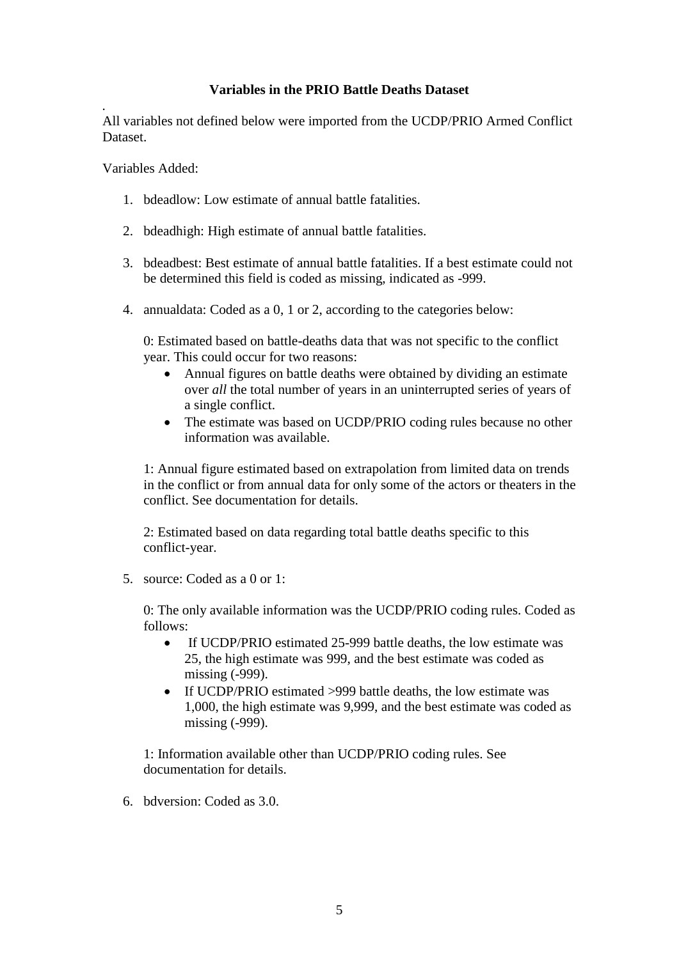## **Variables in the PRIO Battle Deaths Dataset**

*.* All variables not defined below were imported from the UCDP/PRIO Armed Conflict Dataset.

Variables Added:

- 1. bdeadlow: Low estimate of annual battle fatalities.
- 2. bdeadhigh: High estimate of annual battle fatalities.
- 3. bdeadbest: Best estimate of annual battle fatalities. If a best estimate could not be determined this field is coded as missing, indicated as -999.
- 4. annualdata: Coded as a 0, 1 or 2, according to the categories below:

0: Estimated based on battle-deaths data that was not specific to the conflict year. This could occur for two reasons:

- Annual figures on battle deaths were obtained by dividing an estimate over *all* the total number of years in an uninterrupted series of years of a single conflict.
- The estimate was based on UCDP/PRIO coding rules because no other information was available.

1: Annual figure estimated based on extrapolation from limited data on trends in the conflict or from annual data for only some of the actors or theaters in the conflict. See documentation for details.

2: Estimated based on data regarding total battle deaths specific to this conflict-year.

5. source: Coded as a 0 or 1:

0: The only available information was the UCDP/PRIO coding rules. Coded as follows:

- If UCDP/PRIO estimated 25-999 battle deaths, the low estimate was 25, the high estimate was 999, and the best estimate was coded as missing (-999).
- If UCDP/PRIO estimated >999 battle deaths, the low estimate was 1,000, the high estimate was 9,999, and the best estimate was coded as missing (-999).

1: Information available other than UCDP/PRIO coding rules. See documentation for details.

6. bdversion: Coded as 3.0.